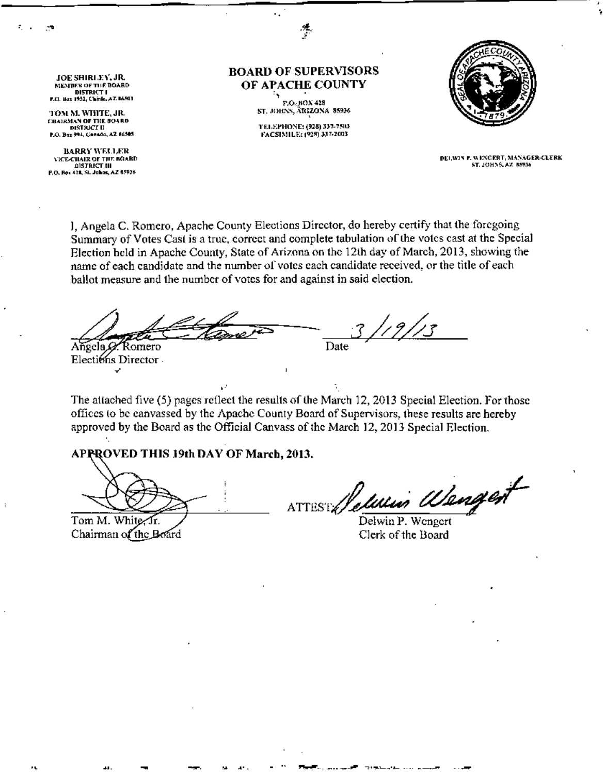JOE SHIRL EY, JR.<br>MENDER OF THE BOARD DISTRICT I<br>7.0 . Has 1951, C'hinle, A.Z. 8650

•

TOM M. WHITE, JR. 1mairman of the board).<br>" District Il P.O. Box 994, Ganado, AZ 86505

BARRY WELLER **VICE-CIIAIR OF THE BOARD DISTRICT III** Ro • 428, SL Johns, AZ 65936

BOARD OF SUPERVISORS OF APACHE COUNTY

L.

P.O.,BOX 428 ST, JOHNS, ÄRIZONA 85936

TELEPHONE: (928) 337-7503<br>FACSIMILE: (928) 337-2003



DELWIN P. WENGERT, MANAGER-CLERK<br>ST. JOHNS, AZ 85936

J, Angela C. Romero, Apache County Elections Director, do hereby certify that the foregoing Summary of Votes Cast is a true, correct and complete tabulation of the votes cast at the Special Election held in Apache County, State of Arizona on the 12th day of March, 2013, showing the name of each candidate and the number of votes each candidate received, or the title of each ballot measure and the number of votes for and against in said election.

Angela *S* Romero  $-3/19/13$ **Date** 

Elections Director

The attached five (5) pages reflect the results of the March 12, 2013 Special Election. For those offiees to be canvassed by the Apache County Board of Supervisors, these results are hereby approved by the Board as the Official Canvass of the March 12,2013 Special Election.

AP PROVED THIS 19th DAY OF March, 2013.

Tom M. White, Ir. Chairman of the Board

.. - ~ ",

ATTEST / eleven

Delwin P. Wenger Clerk of the Board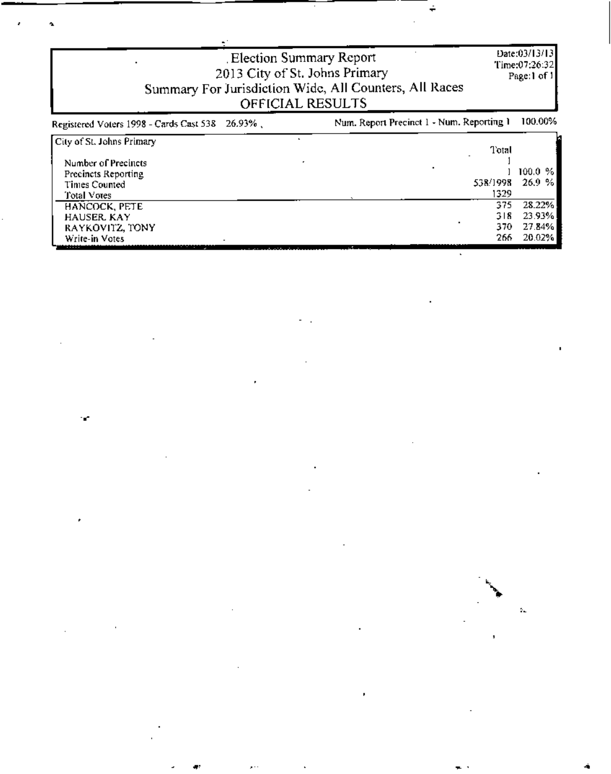| Election Summary Report<br>2013 City of St. Johns Primary<br>Summary For Jurisdiction Wide, All Counters, All Races<br>OFFICIAL RESULTS | Date:03/13/13<br>Time:07:26:32<br>Page:1 of $1$ |
|-----------------------------------------------------------------------------------------------------------------------------------------|-------------------------------------------------|

| Registered Voters 1998 - Cards Cast 538 26.93%, | Num. Report Precinct 1 - Num. Reporting 1 | 100,00% |
|-------------------------------------------------|-------------------------------------------|---------|
| City of St. Johns Primary                       |                                           |         |
|                                                 | Total                                     |         |
| Number of Precincts                             |                                           |         |
| Precincts Reporting                             |                                           | 100.0%  |
| Times Counted                                   | 538/1998                                  | 26.9%   |
| Total Votes                                     | 1329                                      |         |
| HANCOCK, PETE                                   | 375                                       | 28.22%  |
| <b>HAUSER KAY</b>                               | 318                                       | 23.93%  |
| RAYKOVITZ, TONY                                 | 370.                                      | 27.84%  |
| Write-in Votes                                  | 266                                       | 20.02%  |

 $\sim$  .

÷,

16



 $\epsilon$ 

 $\blacksquare$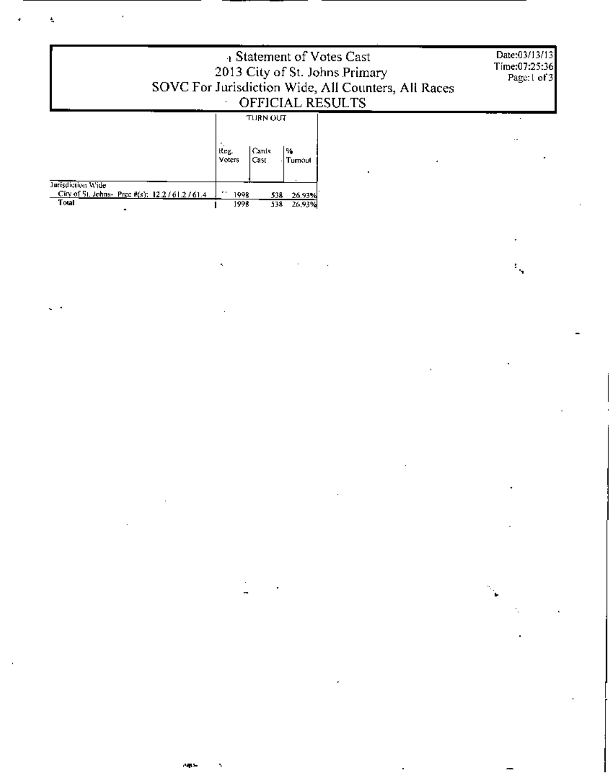| Bratement of Votes Cast<br>2013 City of St. Johns Primary<br>SOVC For Jurisdiction Wide, All Counters, All Races<br><b>OFFICIAL RESULTS</b> |  | Date:03/13/13<br>Time:07:25:36<br>Page:1 of 3 |
|---------------------------------------------------------------------------------------------------------------------------------------------|--|-----------------------------------------------|
| TURN OUT                                                                                                                                    |  |                                               |

 $\mathcal{O}(\mathcal{F}^{\mathrm{c}}_{\mathrm{c}})$  .

 $\mathcal{L}(\mathcal{A})$  and  $\mathcal{L}(\mathcal{A})$  . The  $\mathcal{L}(\mathcal{A})$ 

 $\sim$ 

 $\mathbb{R}^{2n}$  .

 $\mathcal{F}(\mathcal{F})$  .

|                                                                         | Reg.<br>Voters   | Cards<br>l Cast | ъ.<br>Tumout |
|-------------------------------------------------------------------------|------------------|-----------------|--------------|
| Intisdiction Wide<br>City of St. Johns- Prec #(s): $12.2 / 61.2 / 61.4$ | $\cdots$<br>1998 | 538             | 26.93%       |
| Total<br>٠                                                              | 1998             | 538             | 26,93%       |

 $\label{eq:2.1} \mathcal{L}(\mathcal{L}(\mathcal{L})) = \mathcal{L}(\mathcal{L}(\mathcal{L})) = \mathcal{L}(\mathcal{L}(\mathcal{L})) = \mathcal{L}(\mathcal{L}(\mathcal{L})) = \mathcal{L}(\mathcal{L}(\mathcal{L}))$ 

 $\label{eq:2.1} \frac{1}{\sqrt{2}}\left(\frac{1}{\sqrt{2}}\right)^{2} \left(\frac{1}{\sqrt{2}}\right)^{2} \left(\frac{1}{\sqrt{2}}\right)^{2} \left(\frac{1}{\sqrt{2}}\right)^{2} \left(\frac{1}{\sqrt{2}}\right)^{2} \left(\frac{1}{\sqrt{2}}\right)^{2} \left(\frac{1}{\sqrt{2}}\right)^{2} \left(\frac{1}{\sqrt{2}}\right)^{2} \left(\frac{1}{\sqrt{2}}\right)^{2} \left(\frac{1}{\sqrt{2}}\right)^{2} \left(\frac{1}{\sqrt{2}}\right)^{2} \left(\$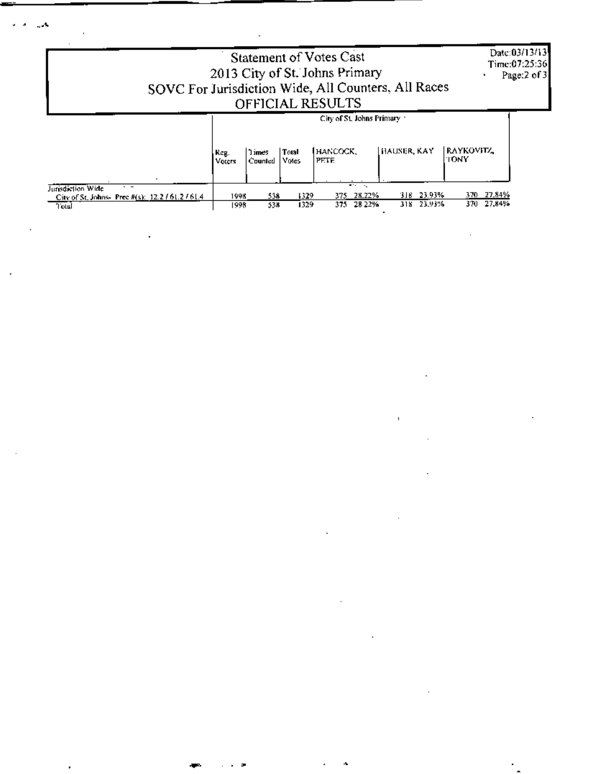Date:03/13/13<br>Time:07:25:36<br>Page:2 of 3

## Statement of Votes Cast<br>
2013 City of St. Johns Primary<br>
SOVC For Jurisdiction Wide, All Counters, All Races<br>
OFFICIAL RESULTS

|                                                                     | City of St. Johns Primary 1 |                   |                |                          |                |                    |
|---------------------------------------------------------------------|-----------------------------|-------------------|----------------|--------------------------|----------------|--------------------|
|                                                                     | , Reg.<br>Voters            | 1 imes<br>Counted | Total<br>Votes | <b>HANCOCK,</b><br>PETE. | HAUSER, KAY    | raykovitz_<br>TONY |
| - -                                                                 |                             |                   |                | $\cdots$<br>. <u>.</u>   |                |                    |
| Jurisdiction Wide<br>City of St. Johns- Prec #(s): $12.2761.2761.4$ | 1998                        | 538               | 1329           | 28.22%<br>375            | 23.93%<br>318. | 27.84%<br>37D      |
| Total                                                               | 1998                        | 538.              | 1329           | 28 22%<br>37.            | 23.93%<br>318. | 27,84%<br>370      |

 $\sim$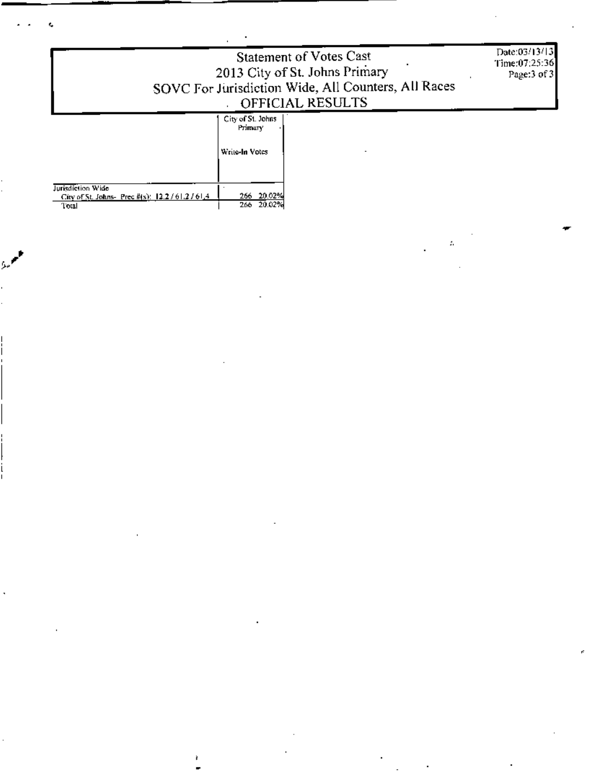| 2013 City of St. Johns Primary<br>SOVC For Jurisdiction Wide, All Counters, All Races | Date:03/13/13<br>Time:07:25:36<br>Page:3 of 3  |  |
|---------------------------------------------------------------------------------------|------------------------------------------------|--|
|                                                                                       | City of St. Johns<br>Primary<br>Write-In Votes |  |
| Jurisdiction Wide<br>City of St. Johns- Prec $k(s)$ : 12.2 / 61.2 / 61.4.<br>Total    | 266 20.02%<br>20.02%<br>266.                   |  |

ì

 $\mathbb{A}^{\mathbb{C}}$ 

ċ,

ċ